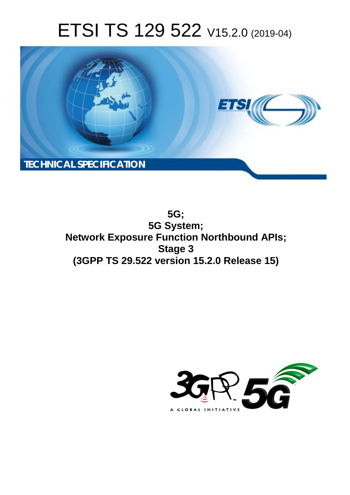# ETSI TS 129 522 V15.2.0 (2019-04)



**5G; 5G System; Network Exposure Function Northbound APIs; Stage 3 (3GPP TS 29.522 version 15.2.0 Release 15)** 

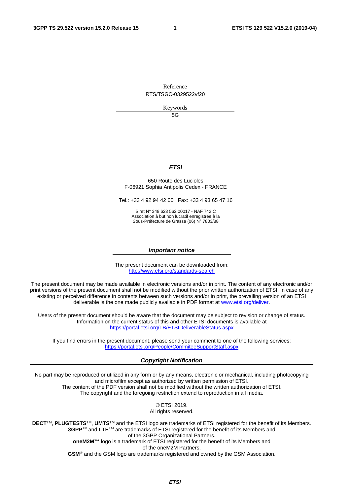Reference

RTS/TSGC-0329522vf20

Keywords

5G

#### *ETSI*

#### 650 Route des Lucioles F-06921 Sophia Antipolis Cedex - FRANCE

Tel.: +33 4 92 94 42 00 Fax: +33 4 93 65 47 16

Siret N° 348 623 562 00017 - NAF 742 C Association à but non lucratif enregistrée à la Sous-Préfecture de Grasse (06) N° 7803/88

#### *Important notice*

The present document can be downloaded from: <http://www.etsi.org/standards-search>

The present document may be made available in electronic versions and/or in print. The content of any electronic and/or print versions of the present document shall not be modified without the prior written authorization of ETSI. In case of any existing or perceived difference in contents between such versions and/or in print, the prevailing version of an ETSI deliverable is the one made publicly available in PDF format at [www.etsi.org/deliver](http://www.etsi.org/deliver).

Users of the present document should be aware that the document may be subject to revision or change of status. Information on the current status of this and other ETSI documents is available at <https://portal.etsi.org/TB/ETSIDeliverableStatus.aspx>

If you find errors in the present document, please send your comment to one of the following services: <https://portal.etsi.org/People/CommiteeSupportStaff.aspx>

#### *Copyright Notification*

No part may be reproduced or utilized in any form or by any means, electronic or mechanical, including photocopying and microfilm except as authorized by written permission of ETSI. The content of the PDF version shall not be modified without the written authorization of ETSI. The copyright and the foregoing restriction extend to reproduction in all media.

> © ETSI 2019. All rights reserved.

**DECT**TM, **PLUGTESTS**TM, **UMTS**TM and the ETSI logo are trademarks of ETSI registered for the benefit of its Members. **3GPP**TM and **LTE**TM are trademarks of ETSI registered for the benefit of its Members and of the 3GPP Organizational Partners. **oneM2M™** logo is a trademark of ETSI registered for the benefit of its Members and of the oneM2M Partners. **GSM**® and the GSM logo are trademarks registered and owned by the GSM Association.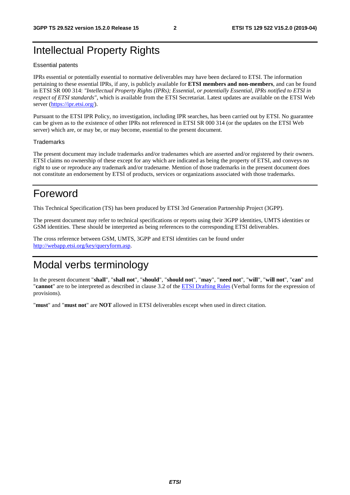## Intellectual Property Rights

#### Essential patents

IPRs essential or potentially essential to normative deliverables may have been declared to ETSI. The information pertaining to these essential IPRs, if any, is publicly available for **ETSI members and non-members**, and can be found in ETSI SR 000 314: *"Intellectual Property Rights (IPRs); Essential, or potentially Essential, IPRs notified to ETSI in respect of ETSI standards"*, which is available from the ETSI Secretariat. Latest updates are available on the ETSI Web server ([https://ipr.etsi.org/\)](https://ipr.etsi.org/).

Pursuant to the ETSI IPR Policy, no investigation, including IPR searches, has been carried out by ETSI. No guarantee can be given as to the existence of other IPRs not referenced in ETSI SR 000 314 (or the updates on the ETSI Web server) which are, or may be, or may become, essential to the present document.

#### **Trademarks**

The present document may include trademarks and/or tradenames which are asserted and/or registered by their owners. ETSI claims no ownership of these except for any which are indicated as being the property of ETSI, and conveys no right to use or reproduce any trademark and/or tradename. Mention of those trademarks in the present document does not constitute an endorsement by ETSI of products, services or organizations associated with those trademarks.

## Foreword

This Technical Specification (TS) has been produced by ETSI 3rd Generation Partnership Project (3GPP).

The present document may refer to technical specifications or reports using their 3GPP identities, UMTS identities or GSM identities. These should be interpreted as being references to the corresponding ETSI deliverables.

The cross reference between GSM, UMTS, 3GPP and ETSI identities can be found under [http://webapp.etsi.org/key/queryform.asp.](http://webapp.etsi.org/key/queryform.asp)

## Modal verbs terminology

In the present document "**shall**", "**shall not**", "**should**", "**should not**", "**may**", "**need not**", "**will**", "**will not**", "**can**" and "**cannot**" are to be interpreted as described in clause 3.2 of the [ETSI Drafting Rules](https://portal.etsi.org/Services/editHelp!/Howtostart/ETSIDraftingRules.aspx) (Verbal forms for the expression of provisions).

"**must**" and "**must not**" are **NOT** allowed in ETSI deliverables except when used in direct citation.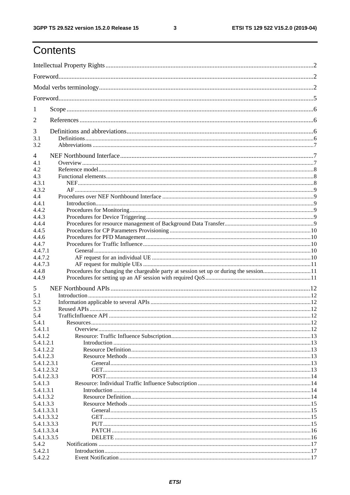$\mathbf{3}$ 

## Contents

| $\mathbf{I}$ |  |
|--------------|--|
| 2            |  |
| 3            |  |
| 3.1<br>3.2   |  |
|              |  |
| 4            |  |
| 4.1<br>4.2   |  |
| 4.3          |  |
| 4.3.1        |  |
| 4.3.2        |  |
| 4.4          |  |
| 4.4.1        |  |
| 4.4.2        |  |
| 4.4.3        |  |
| 4.4.4        |  |
| 4.4.5        |  |
| 4.4.6        |  |
| 4.4.7        |  |
| 4.4.7.1      |  |
| 4.4.7.2      |  |
| 4.4.7.3      |  |
| 4.4.8        |  |
| 4.4.9        |  |
|              |  |
| 5            |  |
| 5.1<br>5.2   |  |
| 5.3          |  |
| 5.4          |  |
| 5.4.1        |  |
| 5.4.1.1      |  |
| 5.4.1.2      |  |
| 5.4.1.2.1    |  |
| 5.4.1.2.2    |  |
| 5.4.1.2.3    |  |
| 5.4.1.2.3.1  |  |
| 5.4.1.2.3.2  |  |
| 5.4.1.2.3.3  |  |
| 5.4.1.3      |  |
| 5.4.1.3.1    |  |
| 5.4.1.3.2    |  |
| 5.4.1.3.3    |  |
| 5.4.1.3.3.1  |  |
| 5.4.1.3.3.2  |  |
| 5.4.1.3.3.3  |  |
| 5.4.1.3.3.4  |  |
| 5.4.1.3.3.5  |  |
| 5.4.2        |  |
| 5.4.2.1      |  |
| 5.4.2.2      |  |
|              |  |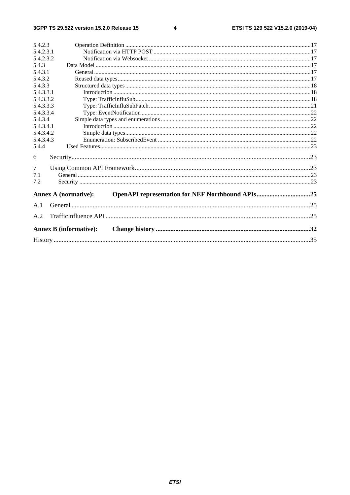#### $\overline{\mathbf{4}}$

| 5.4.2.3   |                                                                                 |     |
|-----------|---------------------------------------------------------------------------------|-----|
| 5.4.2.3.1 |                                                                                 |     |
| 5.4.2.3.2 |                                                                                 |     |
| 5.4.3     |                                                                                 |     |
| 5.4.3.1   |                                                                                 |     |
| 5.4.3.2   |                                                                                 |     |
| 5.4.3.3   |                                                                                 |     |
| 5.4.3.3.1 |                                                                                 |     |
| 5.4.3.3.2 |                                                                                 |     |
| 5.4.3.3.3 |                                                                                 |     |
| 5.4.3.3.4 |                                                                                 |     |
| 5.4.3.4   |                                                                                 |     |
| 5.4.3.4.1 |                                                                                 |     |
| 5.4.3.4.2 |                                                                                 |     |
| 5.4.3.4.3 |                                                                                 |     |
| 5.4.4     |                                                                                 |     |
| 6         |                                                                                 |     |
| 7         |                                                                                 |     |
| 7.1       |                                                                                 |     |
| 7.2       |                                                                                 |     |
|           | OpenAPI representation for NEF Northbound APIs25<br><b>Annex A (normative):</b> |     |
| A.1       |                                                                                 | .25 |
| A.2       |                                                                                 | .25 |
|           |                                                                                 |     |
|           | <b>Annex B</b> (informative):                                                   |     |
|           |                                                                                 |     |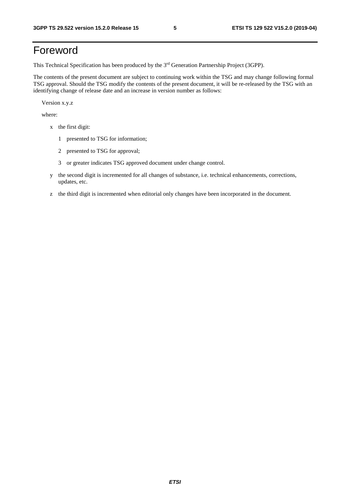## Foreword

This Technical Specification has been produced by the 3rd Generation Partnership Project (3GPP).

The contents of the present document are subject to continuing work within the TSG and may change following formal TSG approval. Should the TSG modify the contents of the present document, it will be re-released by the TSG with an identifying change of release date and an increase in version number as follows:

Version x.y.z

where:

- x the first digit:
	- 1 presented to TSG for information;
	- 2 presented to TSG for approval;
	- 3 or greater indicates TSG approved document under change control.
- y the second digit is incremented for all changes of substance, i.e. technical enhancements, corrections, updates, etc.
- z the third digit is incremented when editorial only changes have been incorporated in the document.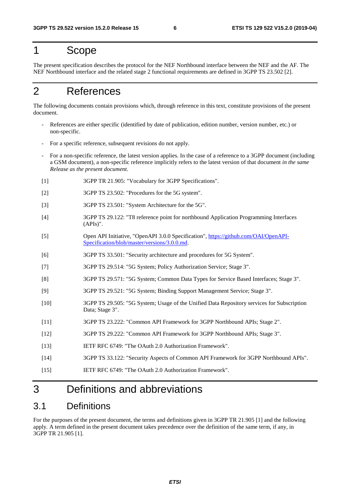## 1 Scope

The present specification describes the protocol for the NEF Northbound interface between the NEF and the AF. The NEF Northbound interface and the related stage 2 functional requirements are defined in 3GPP TS 23.502 [2].

## 2 References

The following documents contain provisions which, through reference in this text, constitute provisions of the present document.

- References are either specific (identified by date of publication, edition number, version number, etc.) or non-specific.
- For a specific reference, subsequent revisions do not apply.
- For a non-specific reference, the latest version applies. In the case of a reference to a 3GPP document (including a GSM document), a non-specific reference implicitly refers to the latest version of that document *in the same Release as the present document*.
- [1] 3GPP TR 21.905: "Vocabulary for 3GPP Specifications".
- [2] 3GPP TS 23.502: "Procedures for the 5G system".
- [3] 3GPP TS 23.501: "System Architecture for the 5G".
- [4] 3GPP TS 29.122: "T8 reference point for northbound Application Programming Interfaces (APIs)".
- [5] Open API Initiative, "OpenAPI 3.0.0 Specification", [https://github.com/OAI/OpenAPI-](https://github.com/OAI/OpenAPI-Specification/blob/master/versions/3.0.0.md)[Specification/blob/master/versions/3.0.0.md](https://github.com/OAI/OpenAPI-Specification/blob/master/versions/3.0.0.md).
- [6] 3GPP TS 33.501: "Security architecture and procedures for 5G System".
- [7] 3GPP TS 29.514: "5G System; Policy Authorization Service; Stage 3".
- [8] 3GPP TS 29.571: "5G System; Common Data Types for Service Based Interfaces; Stage 3".
- [9] 3GPP TS 29.521: "5G System; Binding Support Management Service; Stage 3".
- [10] 3GPP TS 29.505: "5G System; Usage of the Unified Data Repository services for Subscription Data; Stage 3".
- [11] 3GPP TS 23.222: "Common API Framework for 3GPP Northbound APIs; Stage 2".
- [12] 3GPP TS 29.222: "Common API Framework for 3GPP Northbound APIs; Stage 3".
- [13] IETF RFC 6749: "The OAuth 2.0 Authorization Framework".
- [14] 3GPP TS 33.122: "Security Aspects of Common API Framework for 3GPP Northbound APIs".
- [15] IETF RFC 6749: "The OAuth 2.0 Authorization Framework".

## 3 Definitions and abbreviations

## 3.1 Definitions

For the purposes of the present document, the terms and definitions given in 3GPP TR 21.905 [1] and the following apply. A term defined in the present document takes precedence over the definition of the same term, if any, in 3GPP TR 21.905 [1].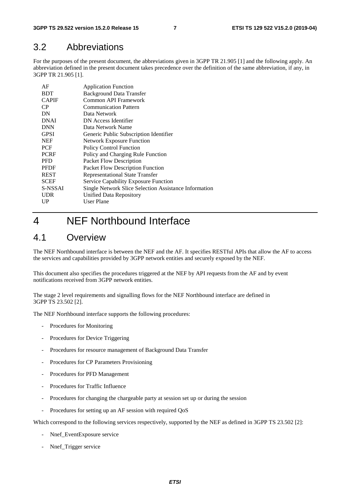## 3.2 Abbreviations

For the purposes of the present document, the abbreviations given in 3GPP TR 21.905 [1] and the following apply. An abbreviation defined in the present document takes precedence over the definition of the same abbreviation, if any, in 3GPP TR 21.905 [1].

| AF           | <b>Application Function</b>                           |
|--------------|-------------------------------------------------------|
| <b>BDT</b>   | <b>Background Data Transfer</b>                       |
| <b>CAPIF</b> | Common API Framework                                  |
| CP           | <b>Communication Pattern</b>                          |
| DN           | Data Network                                          |
| <b>DNAI</b>  | DN Access Identifier                                  |
| <b>DNN</b>   | Data Network Name                                     |
| <b>GPSI</b>  | Generic Public Subscription Identifier                |
| <b>NEF</b>   | <b>Network Exposure Function</b>                      |
| <b>PCF</b>   | <b>Policy Control Function</b>                        |
| <b>PCRF</b>  | Policy and Charging Rule Function                     |
| <b>PFD</b>   | Packet Flow Description                               |
| <b>PFDF</b>  | <b>Packet Flow Description Function</b>               |
| <b>REST</b>  | <b>Representational State Transfer</b>                |
| <b>SCEF</b>  | <b>Service Capability Exposure Function</b>           |
| S-NSSAI      | Single Network Slice Selection Assistance Information |
| <b>UDR</b>   | Unified Data Repository                               |
| UP           | User Plane                                            |
|              |                                                       |

## 4 NEF Northbound Interface

## 4.1 Overview

The NEF Northbound interface is between the NEF and the AF. It specifies RESTful APIs that allow the AF to access the services and capabilities provided by 3GPP network entities and securely exposed by the NEF.

This document also specifies the procedures triggered at the NEF by API requests from the AF and by event notifications received from 3GPP network entities.

The stage 2 level requirements and signalling flows for the NEF Northbound interface are defined in 3GPP TS 23.502 [2].

The NEF Northbound interface supports the following procedures:

- Procedures for Monitoring
- Procedures for Device Triggering
- Procedures for resource management of Background Data Transfer
- Procedures for CP Parameters Provisioning
- Procedures for PFD Management
- Procedures for Traffic Influence
- Procedures for changing the chargeable party at session set up or during the session
- Procedures for setting up an AF session with required QoS

Which correspond to the following services respectively, supported by the NEF as defined in 3GPP TS 23.502 [2]:

- Nnef\_EventExposure service
- Nnef\_Trigger service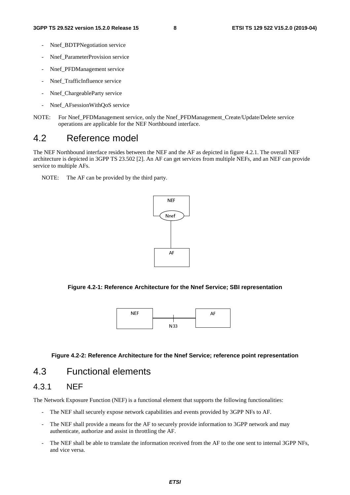- Nnef\_BDTPNegotiation service
- Nnef\_ParameterProvision service
- Nnef PFDManagement service
- Nnef TrafficInfluence service
- Nnef\_ChargeableParty service
- Nnef AFsessionWithQoS service
- NOTE: For Nnef\_PFDManagement service, only the Nnef\_PFDManagement\_Create/Update/Delete service operations are applicable for the NEF Northbound interface.

## 4.2 Reference model

The NEF Northbound interface resides between the NEF and the AF as depicted in figure 4.2.1. The overall NEF architecture is depicted in 3GPP TS 23.502 [2]. An AF can get services from multiple NEFs, and an NEF can provide service to multiple AFs.

NOTE: The AF can be provided by the third party.



**Figure 4.2-1: Reference Architecture for the Nnef Service; SBI representation** 



#### **Figure 4.2-2: Reference Architecture for the Nnef Service; reference point representation**

## 4.3 Functional elements

### 4.3.1 NEF

The Network Exposure Function (NEF) is a functional element that supports the following functionalities:

- The NEF shall securely expose network capabilities and events provided by 3GPP NFs to AF.
- The NEF shall provide a means for the AF to securely provide information to 3GPP network and may authenticate, authorize and assist in throttling the AF.
- The NEF shall be able to translate the information received from the AF to the one sent to internal 3GPP NFs, and vice versa.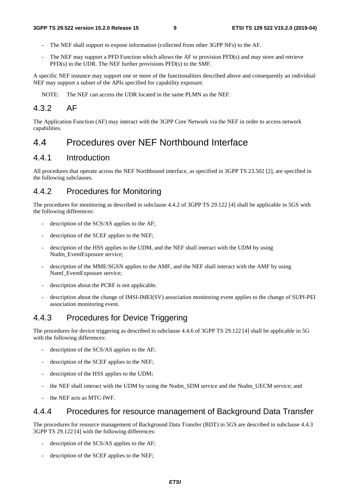- The NEF shall support to expose information (collected from other 3GPP NFs) to the AF.
- The NEF may support a PFD Function which allows the AF to provision PFD(s) and may store and retrieve PFD(s) in the UDR. The NEF further provisions PFD(s) to the SMF.

A specific NEF instance may support one or more of the functionalities described above and consequently an individual NEF may support a subset of the APIs specified for capability exposure.

NOTE: The NEF can access the UDR located in the same PLMN as the NEF.

### 4.3.2 AF

The Application Function (AF) may interact with the 3GPP Core Network via the NEF in order to access network capabilities.

## 4.4 Procedures over NEF Northbound Interface

### 4.4.1 Introduction

All procedures that operate across the NEF Northbound interface, as specified in 3GPP TS 23.502 [2], are specified in the following subclauses.

### 4.4.2 Procedures for Monitoring

The procedures for monitoring as described in subclause 4.4.2 of 3GPP TS 29.122 [4] shall be applicable in 5GS with the following differences:

- description of the SCS/AS applies to the AF;
- description of the SCEF applies to the NEF;
- description of the HSS applies to the UDM, and the NEF shall interact with the UDM by using Nudm\_EventExposure service;
- description of the MME/SGSN applies to the AMF, and the NEF shall interact with the AMF by using Namf\_EventExposure service;
- description about the PCRF is not applicable.
- description about the change of IMSI-IMEI(SV) association monitoring event applies to the change of SUPI-PEI association monitoring event.

### 4.4.3 Procedures for Device Triggering

The procedures for device triggering as described in subclause 4.4.6 of 3GPP TS 29.122 [4] shall be applicable in 5G with the following differences:

- description of the SCS/AS applies to the AF;
- description of the SCEF applies to the NEF;
- description of the HSS applies to the UDM;
- the NEF shall interact with the UDM by using the Nudm SDM service and the Nudm UECM service; and
- the NEF acts as MTC-IWF.

### 4.4.4 Procedures for resource management of Background Data Transfer

The procedures for resource management of Background Data Transfer (BDT) in 5GS are described in subclause 4.4.3 3GPP TS 29.122 [4] with the following differences:

- description of the SCS/AS applies to the AF;
- description of the SCEF applies to the NEF;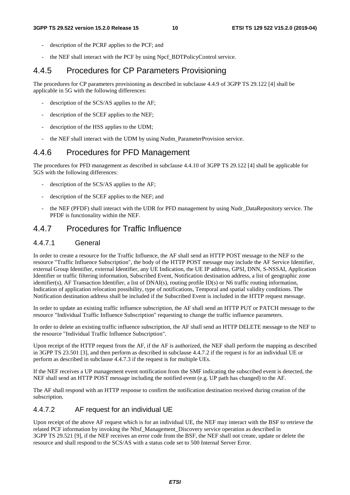- description of the PCRF applies to the PCF; and
- the NEF shall interact with the PCF by using Npcf\_BDTPolicyControl service.

### 4.4.5 Procedures for CP Parameters Provisioning

The procedures for CP parameters provisioning as described in subclause 4.4.9 of 3GPP TS 29.122 [4] shall be applicable in 5G with the following differences:

- description of the SCS/AS applies to the AF;
- description of the SCEF applies to the NEF;
- description of the HSS applies to the UDM;
- the NEF shall interact with the UDM by using Nudm\_ParameterProvision service.

### 4.4.6 Procedures for PFD Management

The procedures for PFD management as described in subclause 4.4.10 of 3GPP TS 29.122 [4] shall be applicable for 5GS with the following differences:

- description of the SCS/AS applies to the AF;
- description of the SCEF applies to the NEF; and
- the NEF (PFDF) shall interact with the UDR for PFD management by using Nudr\_DataRepository service. The PFDF is functionality within the NEF.

### 4.4.7 Procedures for Traffic Influence

#### 4.4.7.1 General

In order to create a resource for the Traffic Influence, the AF shall send an HTTP POST message to the NEF to the resource "Traffic Influence Subscription", the body of the HTTP POST message may include the AF Service Identifier, external Group Identifier, external Identifier, any UE Indication, the UE IP address, GPSI, DNN, S-NSSAI, Application Identifier or traffic filtering information, Subscribed Event, Notification destination address, a list of geographic zone identifier(s), AF Transaction Identifier, a list of DNAI(s), routing profile ID(s) or N6 traffic routing information, Indication of application relocation possibility, type of notifications, Temporal and spatial validity conditions. The Notification destination address shall be included if the Subscribed Event is included in the HTTP request message.

In order to update an existing traffic influence subscription, the AF shall send an HTTP PUT or PATCH message to the resource "Individual Traffic Influence Subscription" requesting to change the traffic influence parameters.

In order to delete an existing traffic influence subscription, the AF shall send an HTTP DELETE message to the NEF to the resource "Individual Traffic Influence Subscription".

Upon receipt of the HTTP request from the AF, if the AF is authorized, the NEF shall perform the mapping as described in 3GPP TS 23.501 [3], and then perform as described in subclause 4.4.7.2 if the request is for an individual UE or perform as described in subclause 4.4.7.3 if the request is for multiple UEs.

If the NEF receives a UP management event notification from the SMF indicating the subscribed event is detected, the NEF shall send an HTTP POST message including the notified event (e.g. UP path has changed) to the AF.

The AF shall respond with an HTTP response to confirm the notification destination received during creation of the subscription.

#### 4.4.7.2 AF request for an individual UE

Upon receipt of the above AF request which is for an individual UE, the NEF may interact with the BSF to retrieve the related PCF information by invoking the Nbsf\_Management\_Discovery service operation as described in 3GPP TS 29.521 [9], if the NEF receives an error code from the BSF, the NEF shall not create, update or delete the resource and shall respond to the SCS/AS with a status code set to 500 Internal Server Error.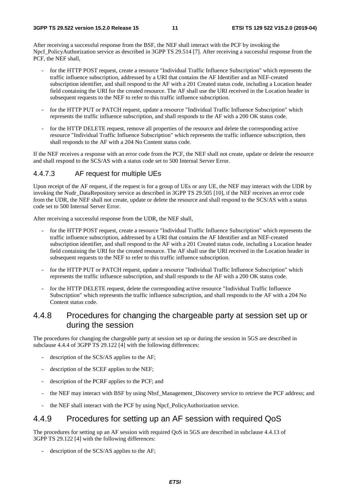After receiving a successful response from the BSF, the NEF shall interact with the PCF by invoking the Npcf\_PolicyAuthorization service as described in 3GPP TS 29.514 [7]. After receiving a successful response from the PCF, the NEF shall,

- for the HTTP POST request, create a resource "Individual Traffic Influence Subscription" which represents the traffic influence subscription, addressed by a URI that contains the AF Identifier and an NEF-created subscription identifier, and shall respond to the AF with a 201 Created status code, including a Location header field containing the URI for the created resource. The AF shall use the URI received in the Location header in subsequent requests to the NEF to refer to this traffic influence subscription.
- for the HTTP PUT or PATCH request, update a resource "Individual Traffic Influence Subscription" which represents the traffic influence subscription, and shall responds to the AF with a 200 OK status code.
- for the HTTP DELETE request, remove all properties of the resource and delete the corresponding active resource "Individual Traffic Influence Subscription" which represents the traffic influence subscription, then shall responds to the AF with a 204 No Content status code.

If the NEF receives a response with an error code from the PCF, the NEF shall not create, update or delete the resource and shall respond to the SCS/AS with a status code set to 500 Internal Server Error.

#### 4.4.7.3 AF request for multiple UEs

Upon receipt of the AF request, if the request is for a group of UEs or any UE, the NEF may interact with the UDR by invoking the Nudr\_DataRepository service as described in 3GPP TS 29.505 [10], if the NEF receives an error code from the UDR, the NEF shall not create, update or delete the resource and shall respond to the SCS/AS with a status code set to 500 Internal Server Error.

After receiving a successful response from the UDR, the NEF shall,

- for the HTTP POST request, create a resource "Individual Traffic Influence Subscription" which represents the traffic influence subscription, addressed by a URI that contains the AF Identifier and an NEF-created subscription identifier, and shall respond to the AF with a 201 Created status code, including a Location header field containing the URI for the created resource. The AF shall use the URI received in the Location header in subsequent requests to the NEF to refer to this traffic influence subscription.
- for the HTTP PUT or PATCH request, update a resource "Individual Traffic Influence Subscription" which represents the traffic influence subscription, and shall responds to the AF with a 200 OK status code.
- for the HTTP DELETE request, delete the corresponding active resource "Individual Traffic Influence Subscription" which represents the traffic influence subscription, and shall responds to the AF with a 204 No Content status code.

### 4.4.8 Procedures for changing the chargeable party at session set up or during the session

The procedures for changing the chargeable party at session set up or during the session in 5GS are described in subclause 4.4.4 of 3GPP TS 29.122 [4] with the following differences:

- description of the SCS/AS applies to the AF;
- description of the SCEF applies to the NEF;
- description of the PCRF applies to the PCF; and
- the NEF may interact with BSF by using Nbsf\_Management\_Discovery service to retrieve the PCF address; and
- the NEF shall interact with the PCF by using Npcf\_PolicyAuthorization service.

### 4.4.9 Procedures for setting up an AF session with required QoS

The procedures for setting up an AF session with required QoS in 5GS are described in subclause 4.4.13 of 3GPP TS 29.122 [4] with the following differences:

description of the SCS/AS applies to the AF;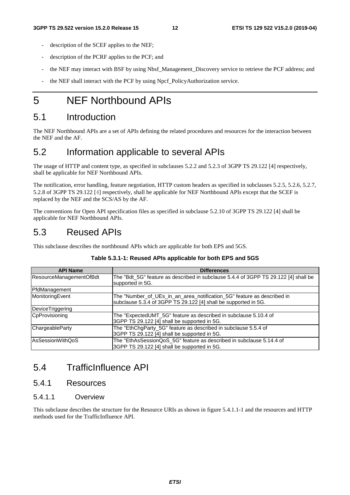- description of the SCEF applies to the NEF;
- description of the PCRF applies to the PCF; and
- the NEF may interact with BSF by using Nbsf\_Management\_Discovery service to retrieve the PCF address; and
- the NEF shall interact with the PCF by using Npcf\_PolicyAuthorization service.

## 5 NEF Northbound APIs

## 5.1 Introduction

The NEF Northbound APIs are a set of APIs defining the related procedures and resources for the interaction between the NEF and the AF.

## 5.2 Information applicable to several APIs

The usage of HTTP and content type, as specified in subclauses 5.2.2 and 5.2.3 of 3GPP TS 29.122 [4] respectively, shall be applicable for NEF Northbound APIs.

The notification, error handling, feature negotiation, HTTP custom headers as specified in subclauses 5.2.5, 5.2.6, 5.2.7, 5.2.8 of 3GPP TS 29.122 [4] respectively, shall be applicable for NEF Northbound APIs except that the SCEF is replaced by the NEF and the SCS/AS by the AF.

The conventions for Open API specification files as specified in subclause 5.2.10 of 3GPP TS 29.122 [4] shall be applicable for NEF Northbound APIs.

## 5.3 Reused APIs

This subclause describes the northbound APIs which are applicable for both EPS and 5GS.

| <b>API Name</b>         | <b>Differences</b>                                                                                                                        |
|-------------------------|-------------------------------------------------------------------------------------------------------------------------------------------|
| ResourceManagementOfBdt | The "Bdt 5G" feature as described in subclause 5.4.4 of 3GPP TS 29.122 [4] shall be<br>supported in 5G.                                   |
| PfdManagement           |                                                                                                                                           |
| MonitoringEvent         | The "Number_of_UEs_in_an_area_notification_5G" feature as described in<br>subclause 5.3.4 of 3GPP TS 29.122 [4] shall be supported in 5G. |
| <b>DeviceTriggering</b> |                                                                                                                                           |
| CpProvisioning          | The "ExpectedUMT_5G" feature as described in subclause 5.10.4 of<br>3GPP TS 29.122 [4] shall be supported in 5G.                          |
| ChargeableParty         | The "EthChgParty_5G" feature as described in subclause 5.5.4 of<br>3GPP TS 29.122 [4] shall be supported in 5G.                           |
| AsSessionWithQoS        | The "EthAsSessionQoS_5G" feature as described in subclause 5.14.4 of<br>3GPP TS 29.122 [4] shall be supported in 5G.                      |

#### **Table 5.3.1-1: Reused APIs applicable for both EPS and 5GS**

## 5.4 TrafficInfluence API

### 5.4.1 Resources

#### 5.4.1.1 Overview

This subclause describes the structure for the Resource URIs as shown in figure 5.4.1.1-1 and the resources and HTTP methods used for the TrafficInfluence API.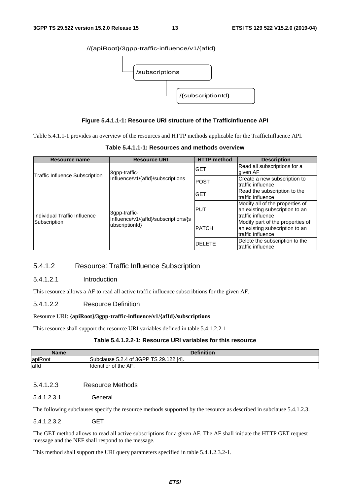#### //{apiRoot}/3gpp-traffic-influence/v1/{afId}



#### **Figure 5.4.1.1-1: Resource URI structure of the TrafficInfluence API**

Table 5.4.1.1-1 provides an overview of the resources and HTTP methods applicable for the TrafficInfluence API.

| Resource name                         | <b>Resource URI</b>                                    | <b>HTTP</b> method | <b>Description</b>                                                                      |
|---------------------------------------|--------------------------------------------------------|--------------------|-----------------------------------------------------------------------------------------|
|                                       | 3gpp-traffic-                                          | <b>GET</b>         | Read all subscriptions for a<br>given AF                                                |
| <b>Traffic Influence Subscription</b> | Influence/v1/{afld}/subscriptions                      | <b>POST</b>        | Create a new subscription to<br>traffic influence                                       |
|                                       |                                                        | <b>GET</b>         | Read the subscription to the<br>traffic influence                                       |
| Individual Traffic Influence          | 3qpp-traffic-                                          | IPUT               | Modify all of the properties of<br>an existing subscription to an<br>traffic influence  |
| Subscription                          | Influence/v1/{afld}/subscriptions/{s<br>ubscriptionId} | <b>PATCH</b>       | Modify part of the properties of<br>an existing subscription to an<br>traffic influence |
|                                       |                                                        | <b>IDELETE</b>     | Delete the subscription to the<br>Itraffic influence                                    |

**Table 5.4.1.1-1: Resources and methods overview** 

#### 5.4.1.2 Resource: Traffic Influence Subscription

#### 5.4.1.2.1 Introduction

This resource allows a AF to read all active traffic influence subscribtions for the given AF.

#### 5.4.1.2.2 Resource Definition

#### Resource URI: **{apiRoot}/3gpp-traffic-influence/v1/{afId}/subscriptions**

This resource shall support the resource URI variables defined in table 5.4.1.2.2-1.

#### **Table 5.4.1.2.2-1: Resource URI variables for this resource**

| <b>Name</b> | <b>Definition</b>                             |
|-------------|-----------------------------------------------|
| apiRoot     | Subclause 5.2.4 of 3GPP TS 29.122<br>122 [4]. |
| afld        | <b>I</b> dentifier of the AF.                 |

#### 5.4.1.2.3 Resource Methods

5.4.1.2.3.1 General

The following subclauses specify the resource methods supported by the resource as described in subclause 5.4.1.2.3.

#### 5.4.1.2.3.2 GET

The GET method allows to read all active subscriptions for a given AF. The AF shall initiate the HTTP GET request message and the NEF shall respond to the message.

This method shall support the URI query parameters specified in table 5.4.1.2.3.2-1.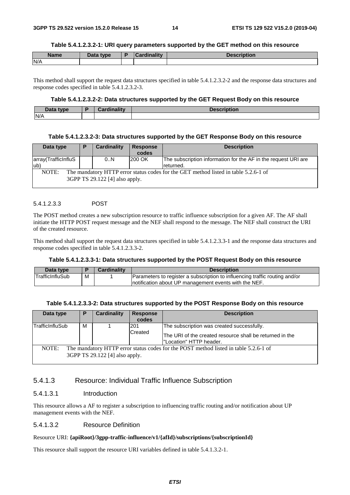#### **Table 5.4.1.2.3.2-1: URI query parameters supported by the GET method on this resource**

| <b>Name</b> | <b>Pata type</b><br>Dala | `ordinolity | ïntion |
|-------------|--------------------------|-------------|--------|
| N/A         |                          |             |        |

This method shall support the request data structures specified in table 5.4.1.2.3.2-2 and the response data structures and response codes specified in table 5.4.1.2.3.2-3.

#### **Table 5.4.1.2.3.2-2: Data structures supported by the GET Request Body on this resource**

| Data type | Cardinality | <b>Description</b> |
|-----------|-------------|--------------------|
| N/A       |             |                    |

#### **Table 5.4.1.2.3.2-3: Data structures supported by the GET Response Body on this resource**

| Data type                                                                                                                      | P | Cardinality | <b>Response</b><br>codes | <b>Description</b>                                                          |
|--------------------------------------------------------------------------------------------------------------------------------|---|-------------|--------------------------|-----------------------------------------------------------------------------|
| array(TrafficInfluS<br>lub)                                                                                                    |   | 0.N         | 200 OK                   | The subscription information for the AF in the request URI are<br>returned. |
| NOTE:<br>The mandatory HTTP error status codes for the GET method listed in table 5.2.6-1 of<br>3GPP TS 29.122 [4] also apply. |   |             |                          |                                                                             |

#### 5.4.1.2.3.3 POST

The POST method creates a new subscription resource to traffic influence subscription for a given AF. The AF shall initiate the HTTP POST request message and the NEF shall respond to the message. The NEF shall construct the URI of the created resource.

This method shall support the request data structures specified in table 5.4.1.2.3.3-1 and the response data structures and response codes specified in table 5.4.1.2.3.3-2.

#### **Table 5.4.1.2.3.3-1: Data structures supported by the POST Request Body on this resource**

| Data type       |   | <b>Cardinality</b> | <b>Description</b>                                                          |  |
|-----------------|---|--------------------|-----------------------------------------------------------------------------|--|
| TrafficInfluSub | M |                    | Parameters to register a subscription to influencing traffic routing and/or |  |
|                 |   |                    | Inotification about UP management events with the NEF.                      |  |

| Table 5.4.1.2.3.3-2: Data structures supported by the POST Response Body on this resource |  |  |
|-------------------------------------------------------------------------------------------|--|--|
|                                                                                           |  |  |

| Data type                                                                                                                       | P | <b>Cardinality</b> | <b>Response</b><br>codes | <b>Description</b>                                                                                                                |
|---------------------------------------------------------------------------------------------------------------------------------|---|--------------------|--------------------------|-----------------------------------------------------------------------------------------------------------------------------------|
| <b>TrafficInfluSub</b>                                                                                                          | м |                    | 201<br>Created           | The subscription was created successfully.<br>The URI of the created resource shall be returned in the<br>"Location" HTTP header. |
| NOTE:<br>The mandatory HTTP error status codes for the POST method listed in table 5.2.6-1 of<br>3GPP TS 29.122 [4] also apply. |   |                    |                          |                                                                                                                                   |

#### 5.4.1.3 Resource: Individual Traffic Influence Subscription

#### 5.4.1.3.1 Introduction

This resource allows a AF to register a subscription to influencing traffic routing and/or notification about UP management events with the NEF.

#### 5.4.1.3.2 Resource Definition

#### Resource URI: **{apiRoot}/3gpp-traffic-influence/v1/{afId}/subscriptions/{subscriptionId}**

This resource shall support the resource URI variables defined in table 5.4.1.3.2-1.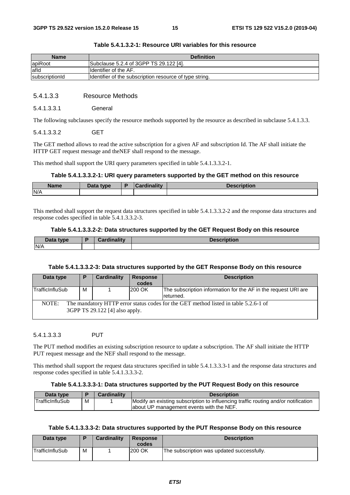| <b>Name</b>    | <b>Definition</b>                                       |
|----------------|---------------------------------------------------------|
| apiRoot        | Subclause 5.2.4 of 3GPP TS 29.122 [4].                  |
| lafld          | <b>I</b> Identifier of the AF.                          |
| subscriptionId | Identifier of the subscription resource of type string. |

#### **Table 5.4.1.3.2-1: Resource URI variables for this resource**

#### 5.4.1.3.3 Resource Methods

#### 5.4.1.3.3.1 General

The following subclauses specify the resource methods supported by the resource as described in subclause 5.4.1.3.3.

#### 5.4.1.3.3.2 GET

The GET method allows to read the active subscription for a given AF and subscription Id. The AF shall initiate the HTTP GET request message and theNEF shall respond to the message.

This method shall support the URI query parameters specified in table 5.4.1.3.3.2-1.

#### **Table 5.4.1.3.3.2-1: URI query parameters supported by the GET method on this resource**

| <b>Name</b> | Data type | D | Cardinalitv | <b>Description</b> |
|-------------|-----------|---|-------------|--------------------|
| N/A         |           |   |             |                    |

This method shall support the request data structures specified in table 5.4.1.3.3.2-2 and the response data structures and response codes specified in table 5.4.1.3.3.2-3.

#### **Table 5.4.1.3.3.2-2: Data structures supported by the GET Request Body on this resource**

| Data type | <b>Tinality</b> | ribtion |
|-----------|-----------------|---------|
| N/A       |                 |         |

#### **Table 5.4.1.3.3.2-3: Data structures supported by the GET Response Body on this resource**

| Data type                                                                                                                      | P | Cardinality | <b>Response</b><br>codes | <b>Description</b>                                                          |
|--------------------------------------------------------------------------------------------------------------------------------|---|-------------|--------------------------|-----------------------------------------------------------------------------|
| TrafficInfluSub                                                                                                                | М |             | 200 OK                   | The subscription information for the AF in the request URI are<br>returned. |
| NOTE:<br>The mandatory HTTP error status codes for the GET method listed in table 5.2.6-1 of<br>3GPP TS 29.122 [4] also apply. |   |             |                          |                                                                             |

#### 5.4.1.3.3.3 PUT

The PUT method modifies an existing subscription resource to update a subscription. The AF shall initiate the HTTP PUT request message and the NEF shall respond to the message.

This method shall support the request data structures specified in table 5.4.1.3.3.3-1 and the response data structures and response codes specified in table 5.4.1.3.3.3-2.

#### **Table 5.4.1.3.3.3-1: Data structures supported by the PUT Request Body on this resource**

| Data type       |   | <b>Cardinality</b> | <b>Description</b>                                                                                                             |
|-----------------|---|--------------------|--------------------------------------------------------------------------------------------------------------------------------|
| TrafficInfluSub | M |                    | Modify an existing subscription to influencing traffic routing and/or notification<br>about UP management events with the NEF. |

#### **Table 5.4.1.3.3.3-2: Data structures supported by the PUT Response Body on this resource**

| Data type       |   | <b>Cardinality</b> | <b>Response</b><br>codes | <b>Description</b>                         |
|-----------------|---|--------------------|--------------------------|--------------------------------------------|
| TrafficInfluSub | М |                    | 200 OK                   | The subscription was updated successfully. |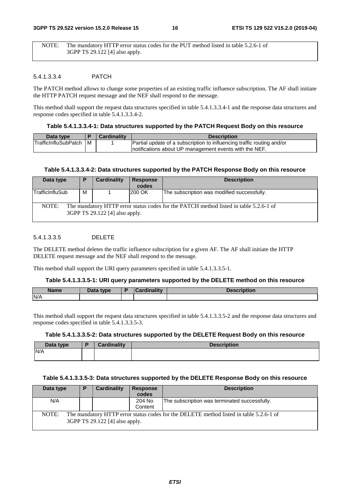NOTE: The mandatory HTTP error status codes for the PUT method listed in table 5.2.6-1 of 3GPP TS 29.122 [4] also apply.

#### 5.4.1.3.3.4 PATCH

The PATCH method allows to change some properties of an existing traffic influence subscription. The AF shall initiate the HTTP PATCH request message and the NEF shall respond to the message.

This method shall support the request data structures specified in table 5.4.1.3.3.4-1 and the response data structures and response codes specified in table 5.4.1.3.3.4-2.

#### **Table 5.4.1.3.3.4-1: Data structures supported by the PATCH Request Body on this resource**

| Data type                    |     | <b>Cardinality</b> | <b>Description</b>                                                     |
|------------------------------|-----|--------------------|------------------------------------------------------------------------|
| <b>ITrafficInfluSubPatch</b> | l M |                    | Partial update of a subscription to influencing traffic routing and/or |
|                              |     |                    | Inotifications about UP management events with the NEF.                |

#### **Table 5.4.1.3.3.4-2: Data structures supported by the PATCH Response Body on this resource**

| Data type       | P | Cardinality                    | <b>Response</b><br>codes | <b>Description</b>                                                                    |
|-----------------|---|--------------------------------|--------------------------|---------------------------------------------------------------------------------------|
| TrafficInfluSub | м |                                | 200 OK                   | The subscription was modified successfully.                                           |
| NOTE:           |   | 3GPP TS 29.122 [4] also apply. |                          | The mandatory HTTP error status codes for the PATCH method listed in table 5.2.6-1 of |

#### 5.4.1.3.3.5 DELETE

The DELETE method deletes the traffic influence subscription for a given AF. The AF shall initiate the HTTP DELETE request message and the NEF shall respond to the message.

This method shall support the URI query parameters specified in table 5.4.1.3.3.5-1.

#### **Table 5.4.1.3.3.5-1: URI query parameters supported by the DELETE method on this resource**

| <b>Name</b> | Data type<br>Dala | <b><i>Himmelites</i></b> | and the same of the same of |
|-------------|-------------------|--------------------------|-----------------------------|
| N/A         |                   |                          |                             |

This method shall support the request data structures specified in table 5.4.1.3.3.5-2 and the response data structures and response codes specified in table 5.4.1.3.3.5-3.

#### **Table 5.4.1.3.3.5-2: Data structures supported by the DELETE Request Body on this resource**

| Data type | <b>Cardinality</b> | <b>Description</b> |
|-----------|--------------------|--------------------|
| N/A       |                    |                    |
|           |                    |                    |

#### **Table 5.4.1.3.3.5-3: Data structures supported by the DELETE Response Body on this resource**

| Data type | Ð | Cardinality                    | <b>Response</b> | <b>Description</b>                                                                     |
|-----------|---|--------------------------------|-----------------|----------------------------------------------------------------------------------------|
|           |   |                                | codes           |                                                                                        |
| N/A       |   |                                | 204 No          | The subscription was terminated successfully.                                          |
|           |   |                                | Content         |                                                                                        |
| NOTE:     |   | 3GPP TS 29.122 [4] also apply. |                 | The mandatory HTTP error status codes for the DELETE method listed in table 5.2.6-1 of |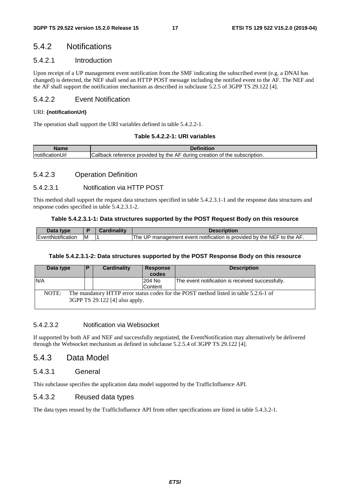### 5.4.2 Notifications

#### 5.4.2.1 Introduction

Upon receipt of a UP management event notification from the SMF indicating the subscribed event (e.g. a DNAI has changed) is detected, the NEF shall send an HTTP POST message including the notified event to the AF. The NEF and the AF shall support the notification mechanism as described in subclause 5.2.5 of 3GPP TS 29.122 [4].

#### 5.4.2.2 Event Notification

#### URI: **{notificationUrI}**

The operation shall support the URI variables defined in table 5.4.2.2-1.

#### **Table 5.4.2.2-1: URI variables**

| <b>Nome</b>      | n.c.<br>THON                                                                                                      |
|------------------|-------------------------------------------------------------------------------------------------------------------|
| <br>Inotifi<br>. | $\mathsf{L}$ allback<br>creation<br>AF<br>durina<br>reterence.<br>provided by the a<br>the<br>subscription.<br>Οt |

#### 5.4.2.3 Operation Definition

#### 5.4.2.3.1 Notification via HTTP POST

This method shall support the request data structures specified in table 5.4.2.3.1-1 and the response data structures and response codes specified in table 5.4.2.3.1-2.

#### **Table 5.4.2.3.1-1: Data structures supported by the POST Request Body on this resource**

| Data type         |    | Cardinality | Description                                                                    |
|-------------------|----|-------------|--------------------------------------------------------------------------------|
| EventNotification | ιM |             | ' management event notification is provided by the NEF to the AF.<br>UP<br>The |

#### **Table 5.4.2.3.1-2: Data structures supported by the POST Response Body on this resource**

| Data type                                                                                                                       | IP. | Cardinality | Response<br>codes | <b>Description</b>                               |
|---------------------------------------------------------------------------------------------------------------------------------|-----|-------------|-------------------|--------------------------------------------------|
| N/A                                                                                                                             |     |             | 204 No<br>Content | The event notification is received successfully. |
| The mandatory HTTP error status codes for the POST method listed in table 5.2.6-1 of<br>NOTE:<br>3GPP TS 29.122 [4] also apply. |     |             |                   |                                                  |

#### 5.4.2.3.2 Notification via Websocket

If supported by both AF and NEF and successfully negotiated, the EventNotification may alternatively be delivered through the Websocket mechanism as defined in subclause 5.2.5.4 of 3GPP TS 29.122 [4].

### 5.4.3 Data Model

#### 5.4.3.1 General

This subclause specifies the application data model supported by the TrafficInfluence API.

#### 5.4.3.2 Reused data types

The data types reused by the TrafficInfluence API from other specifications are listed in table 5.4.3.2-1.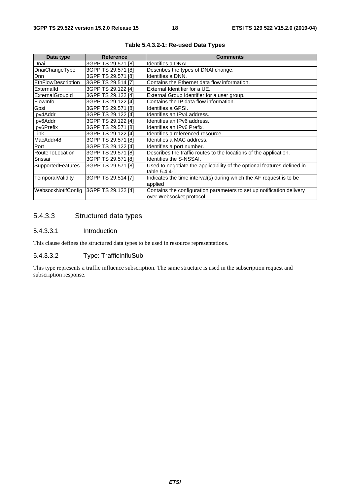| Data type                | <b>Reference</b>          | <b>Comments</b>                                                         |  |  |
|--------------------------|---------------------------|-------------------------------------------------------------------------|--|--|
| Dnai                     | 3GPP TS 29.571 [8]        | Identifies a DNAI.                                                      |  |  |
| DnaiChangeType           | 3GPP TS 29.571 [8]        | Describes the types of DNAI change.                                     |  |  |
| <b>D</b> nn              | 3GPP TS 29.571 [8]        | Identifies a DNN.                                                       |  |  |
| EthFlowDescription       | 3GPP TS 29.514 [7]        | Contains the Ethernet data flow information.                            |  |  |
| Externalld               | 3GPP TS 29.122 [4]        | External Identifier for a UE.                                           |  |  |
| ExternalGroupId          | 3GPP TS 29.122 [4]        | External Group Identifier for a user group.                             |  |  |
| FlowInfo                 | 3GPP TS 29.122 [4]        | Contains the IP data flow information.                                  |  |  |
| Gpsi                     | 3GPP TS 29.571 [8]        | Identifies a GPSI.                                                      |  |  |
| Ipv4Addr                 | 3GPP TS 29.122 [4]        | Identifies an IPv4 address.                                             |  |  |
| Ipv6Addr                 | 3GPP TS 29.122 [4]        | Identifies an IPv6 address.                                             |  |  |
| Ipv6Prefix               | 3GPP TS 29.571 [8]        | Identifies an IPv6 Prefix.                                              |  |  |
| Link                     | 3GPP TS 29.122 [4]        | Identifies a referenced resource.                                       |  |  |
| MacAddr48                | 3GPP TS 29.571 [8]        | Identifies a MAC address.                                               |  |  |
| Port                     | 3GPP TS 29.122 [4]        | Identifies a port number.                                               |  |  |
| RouteToLocation          | 3GPP TS 29.571 [8]        | Describes the traffic routes to the locations of the application.       |  |  |
| Snssai                   | 3GPP TS 29.571 [8]        | Identifies the S-NSSAI.                                                 |  |  |
| <b>SupportedFeatures</b> | 3GPP TS 29.571 [8]        | Used to negotiate the applicability of the optional features defined in |  |  |
|                          |                           | table 5.4.4-1.                                                          |  |  |
| TemporalValidity         | 3GPP TS 29.514 [7]        | Indicates the time interval(s) during which the AF request is to be     |  |  |
|                          |                           | applied                                                                 |  |  |
| WebsockNotifConfig       | <b>3GPP TS 29.122 [4]</b> | Contains the configuration parameters to set up notification delivery   |  |  |
|                          |                           | over Websocket protocol.                                                |  |  |

**Table 5.4.3.2-1: Re-used Data Types** 

### 5.4.3.3 Structured data types

#### 5.4.3.3.1 Introduction

This clause defines the structured data types to be used in resource representations.

#### 5.4.3.3.2 Type: TrafficInfluSub

This type represents a traffic influence subscription. The same structure is used in the subscription request and subscription response.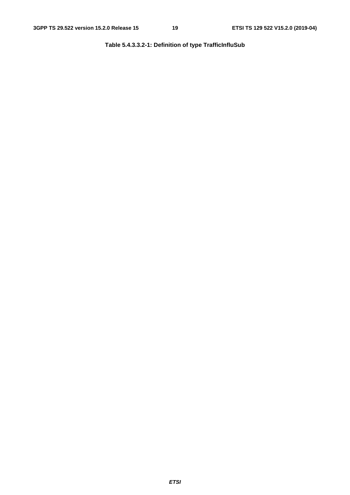**Table 5.4.3.3.2-1: Definition of type TrafficInfluSub**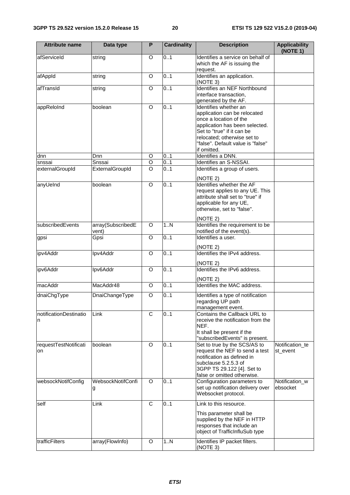| <b>Attribute name</b>       | Data type                  | P              | <b>Cardinality</b>      | <b>Description</b>                                                                                                                                                                                                                 | <b>Applicability</b><br>(NOTE 1) |
|-----------------------------|----------------------------|----------------|-------------------------|------------------------------------------------------------------------------------------------------------------------------------------------------------------------------------------------------------------------------------|----------------------------------|
| afServiceId                 | string                     | O              | 0.1                     | Identifies a service on behalf of<br>which the AF is issuing the<br>request.                                                                                                                                                       |                                  |
| afAppId                     | string                     | O              | 0.1                     | Identifies an application.<br>(NOTE 3)                                                                                                                                                                                             |                                  |
| afTransId                   | string                     | O              | 0.1                     | Identifies an NEF Northbound<br>interface transaction,<br>generated by the AF.                                                                                                                                                     |                                  |
| appReloInd                  | boolean                    | $\circ$        | 0.1                     | Identifies whether an<br>application can be relocated<br>once a location of the<br>application has been selected.<br>Set to "true" if it can be<br>relocated; otherwise set to<br>"false". Default value is "false"<br>if omitted. |                                  |
| dnn                         | Dnn                        | O              | 0.1                     | Identifies a DNN.                                                                                                                                                                                                                  |                                  |
| snssai                      | Snssai                     | $\overline{O}$ | 0.1                     | Identifies an S-NSSAI.                                                                                                                                                                                                             |                                  |
| externalGroupId             | ExternalGroupId            | $\Omega$       | 0.1                     | Identifies a group of users.<br>(NOTE 2)                                                                                                                                                                                           |                                  |
| anyUeInd                    | boolean                    | $\overline{O}$ | 0.1                     | Identifies whether the AF<br>request applies to any UE. This<br>attribute shall set to "true" if<br>applicable for any UE,<br>otherwise, set to "false".                                                                           |                                  |
| subscribedEvents            | array(SubscribedE<br>vent) | O              | 1N                      | (NOTE 2)<br>Identifies the requirement to be<br>notified of the event(s).                                                                                                                                                          |                                  |
| gpsi                        | Gpsi                       | O              | 0.1                     | Identifies a user.<br>(NOTE 2)                                                                                                                                                                                                     |                                  |
| ipv4Addr                    | Ipv4Addr                   | $\circ$        | 0.1                     | Identifies the IPv4 address.<br>(NOTE 2)                                                                                                                                                                                           |                                  |
| ipv6Addr                    | Ipv6Addr                   | O              | 0.1                     | Identifies the IPv6 address.<br>(NOTE 2)                                                                                                                                                                                           |                                  |
| macAddr                     | MacAddr48                  | $\circ$        | 0.1                     | Identifies the MAC address.                                                                                                                                                                                                        |                                  |
| dnaiChgType                 | DnaiChangeType             | O              | 0.1                     | Identifies a type of notification<br>regarding UP path<br>management event.                                                                                                                                                        |                                  |
| notificationDestinatio<br>n | Link                       | $\overline{C}$ | 0.1                     | Contains the Callback URL to<br>receive the notification from the<br>NEF.<br>It shall be present if the<br>"subscribedEvents" is present.                                                                                          |                                  |
| requestTestNotificati<br>on | boolean                    | O              | 0.1                     | Set to true by the SCS/AS to<br>request the NEF to send a test<br>notification as defined in<br>subclause 5.2.5.3 of<br>3GPP TS 29.122 [4]. Set to<br>false or omitted otherwise.                                                  | Notification_te<br>st_event      |
| websockNotifConfig          | WebsockNotifConfi<br>g     | O              | 0.1                     | Configuration parameters to<br>set up notification delivery over<br>Websocket protocol.                                                                                                                                            | Notification_w<br>ebsocket       |
| self<br>trafficFilters      | Link<br>array(FlowInfo)    | C<br>O         | 0.1<br>$\overline{1}$ N | Link to this resource.<br>This parameter shall be<br>supplied by the NEF in HTTP<br>responses that include an<br>object of TrafficInfluSub type<br>Identifies IP packet filters.                                                   |                                  |
|                             |                            |                |                         | (NOTE 3)                                                                                                                                                                                                                           |                                  |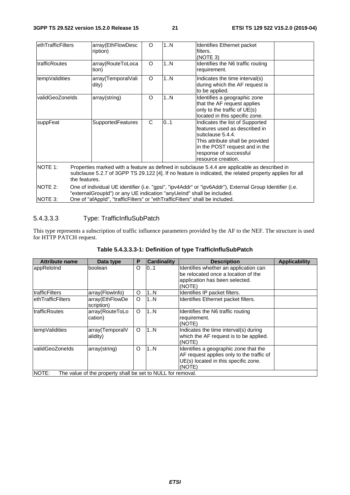| ethTrafficFilters     |                                                                                                                                                                                                                                                                   | array(EthFlowDesc<br>ription) | O | 1N | <b>Identifies Ethernet packet</b><br>filters.<br>(NOTE 3)                                                                                                                                                   |  |
|-----------------------|-------------------------------------------------------------------------------------------------------------------------------------------------------------------------------------------------------------------------------------------------------------------|-------------------------------|---|----|-------------------------------------------------------------------------------------------------------------------------------------------------------------------------------------------------------------|--|
| <b>ItrafficRoutes</b> |                                                                                                                                                                                                                                                                   | array(RouteToLoca<br>tion)    | O | 1N | Identifies the N6 traffic routing<br>requirement.                                                                                                                                                           |  |
| tempValidities        |                                                                                                                                                                                                                                                                   | array(TemporalVali<br>dity)   | O | 1N | Indicates the time interval(s)<br>during which the AF request is<br>to be applied.                                                                                                                          |  |
| validGeoZoneIds       |                                                                                                                                                                                                                                                                   | array(string)                 | O | 1N | Identifies a geographic zone<br>that the AF request applies<br>only to the traffic of UE(s)<br>located in this specific zone.                                                                               |  |
| suppFeat              |                                                                                                                                                                                                                                                                   | SupportedFeatures             | C | 01 | Indicates the list of Supported<br>lfeatures used as described in<br>subclause 5.4.4.<br>This attribute shall be provided<br>in the POST request and in the<br>response of successful<br>resource creation. |  |
| <b>NOTE 1:</b>        | Properties marked with a feature as defined in subclause 5.4.4 are applicable as described in<br>subclause 5.2.7 of 3GPP TS 29.122 [4]. If no feature is indicated, the related property applies for all<br>the features.                                         |                               |   |    |                                                                                                                                                                                                             |  |
| NOTE 2:<br>NOTE 3:    | One of individual UE identifier (i.e. "gpsi", "ipv4Addr" or "ipv6Addr"), External Group Identifier (i.e.<br>"externalGroupId") or any UE indication "anyUeInd" shall be included.<br>One of "afAppId", "trafficFilters" or "ethTrafficFilters" shall be included. |                               |   |    |                                                                                                                                                                                                             |  |

### 5.4.3.3.3 Type: TrafficInfluSubPatch

This type represents a subscription of traffic influence parameters provided by the AF to the NEF. The structure is used for HTTP PATCH request.

| <b>Attribute name</b> | Data type                                                   | P | <b>Cardinality</b> | <b>Description</b>                                                                                                                   | <b>Applicability</b> |
|-----------------------|-------------------------------------------------------------|---|--------------------|--------------------------------------------------------------------------------------------------------------------------------------|----------------------|
| appReloInd            | boolean                                                     | O | 01                 | Identifies whether an application can<br>be relocated once a location of the<br>application has been selected.<br>(NOTE)             |                      |
| trafficFilters        | array(FlowInfo)                                             | O | 1N                 | Identifies IP packet filters.                                                                                                        |                      |
| ethTrafficFilters     | array(EthFlowDe<br>scription)                               | O | 1N                 | Identifies Ethernet packet filters.                                                                                                  |                      |
| trafficRoutes         | array(RouteToLo<br>cation)                                  | O | 1N                 | Identifies the N6 traffic routing<br>requirement.<br>(NOTE)                                                                          |                      |
| tempValidities        | array(TemporalV<br>alidity)                                 | O | 1N                 | Indicates the time interval(s) during<br>which the AF request is to be applied.<br>(NOTE)                                            |                      |
| validGeoZoneIds       | array(string)                                               | O | 1N                 | Identifies a geographic zone that the<br>AF request applies only to the traffic of<br>UE(s) located in this specific zone.<br>(NOTE) |                      |
| NOTE:                 | The value of the property shall be set to NULL for removal. |   |                    |                                                                                                                                      |                      |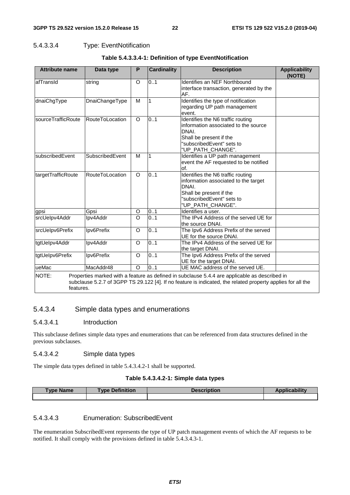#### 5.4.3.3.4 Type: EventNotification

| <b>Attribute name</b> | Data type              | P                  | <b>Cardinality</b> | <b>Description</b>                                                                                                                                                                                           | <b>Applicability</b><br>(NOTE) |
|-----------------------|------------------------|--------------------|--------------------|--------------------------------------------------------------------------------------------------------------------------------------------------------------------------------------------------------------|--------------------------------|
| afTransId             | string                 | O                  | $\overline{0}$ 1   | Identifies an NEF Northbound<br>interface transaction, generated by the<br>AF.                                                                                                                               |                                |
| dnaiChgType           | DnaiChangeType         | M                  | $\mathbf{1}$       | Identifies the type of notification<br>regarding UP path management<br>event.                                                                                                                                |                                |
| sourceTrafficRoute    | RouteToLocation        | $\circ$            | $\overline{0}$ .1  | Identifies the N6 traffic routing<br>information associated to the source<br>DNAI.<br>Shall be present if the<br>"subscribedEvent" sets to<br>"UP_PATH_CHANGE".                                              |                                |
| subscribedEvent       | SubscribedEvent        | M                  | 1                  | Identifies a UP path management<br>event the AF requested to be notified<br>of.                                                                                                                              |                                |
| targetTrafficRoute    | <b>RouteToLocation</b> | $\circ$            | 0.1                | Identifies the N6 traffic routing<br>information associated to the target<br>DNAI.<br>Shall be present if the<br>"subscribedEvent" sets to<br>"UP_PATH_CHANGE".                                              |                                |
| gpsi                  | Gpsi                   | O                  | 0.1                | Identifies a user.                                                                                                                                                                                           |                                |
| srcUelpv4Addr         | Ipv4Addr               | $\overline{\circ}$ | 0.1                | The IPv4 Address of the served UE for<br>the source DNAI.                                                                                                                                                    |                                |
| srcUelpv6Prefix       | Ipv6Prefix             | O                  | 0.1                | The Ipv6 Address Prefix of the served<br>UE for the source DNAI.                                                                                                                                             |                                |
| tgtUelpv4Addr         | Ipv4Addr               | O                  | 0.1                | The IPv4 Address of the served UE for<br>the target DNAI.                                                                                                                                                    |                                |
| tgtUelpv6Prefix       | Ipv6Prefix             | O                  | 0.1                | The Ipv6 Address Prefix of the served<br>UE for the target DNAI.                                                                                                                                             |                                |
| ueMac                 | MacAddr48              | O                  | 0.1                | UE MAC address of the served UE.                                                                                                                                                                             |                                |
| NOTE:<br>features.    |                        |                    |                    | Properties marked with a feature as defined in subclause 5.4.4 are applicable as described in<br>subclause 5.2.7 of 3GPP TS 29.122 [4]. If no feature is indicated, the related property applies for all the |                                |

#### **Table 5.4.3.3.4-1: Definition of type EventNotification**

#### 5.4.3.4 Simple data types and enumerations

#### 5.4.3.4.1 Introduction

This subclause defines simple data types and enumerations that can be referenced from data structures defined in the previous subclauses.

#### 5.4.3.4.2 Simple data types

The simple data types defined in table 5.4.3.4.2-1 shall be supported.

#### **Table 5.4.3.4.2-1: Simple data types**

| <b>Type Name</b> | <b>Definition</b><br><b>vpe</b> | <b>Description</b> | cability |
|------------------|---------------------------------|--------------------|----------|
|                  |                                 |                    |          |

#### 5.4.3.4.3 Enumeration: SubscribedEvent

The enumeration SubscribedEvent represents the type of UP patch management events of which the AF requests to be notified. It shall comply with the provisions defined in table 5.4.3.4.3-1.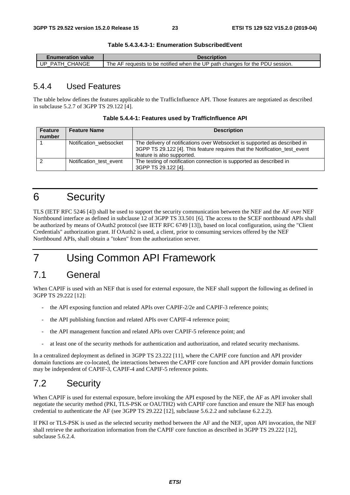**Table 5.4.3.4.3-1: Enumeration SubscribedEvent** 

| <b>Enumeration value</b> | <b>Description</b>                                                           |
|--------------------------|------------------------------------------------------------------------------|
| I UP PATH CHANGE         | The AF requests to be notified when the UP path changes for the PDU session. |

### 5.4.4 Used Features

The table below defines the features applicable to the TrafficInfluence API. Those features are negotiated as described in subclause 5.2.7 of 3GPP TS 29.122 [4].

| Table 5.4.4-1: Features used by TrafficInfluence API |  |
|------------------------------------------------------|--|
|------------------------------------------------------|--|

| <b>Feature</b><br>number | <b>Feature Name</b>     | <b>Description</b>                                                                                                                                                                    |
|--------------------------|-------------------------|---------------------------------------------------------------------------------------------------------------------------------------------------------------------------------------|
|                          | Notification websocket  | The delivery of notifications over Websocket is supported as described in<br>3GPP TS 29.122 [4]. This feature requires that the Notification_test_event<br>feature is also supported. |
| ົ                        | Notification test event | The testing of notification connection is supported as described in<br>3GPP TS 29.122 [4].                                                                                            |

## 6 Security

TLS (IETF RFC 5246 [4]) shall be used to support the security communication between the NEF and the AF over NEF Northbound interface as defined in subclause 12 of 3GPP TS 33.501 [6]. The access to the SCEF northbound APIs shall be authorized by means of OAuth2 protocol (see IETF RFC 6749 [13]), based on local configuration, using the "Client Credentials" authorization grant. If OAuth2 is used, a client, prior to consuming services offered by the NEF Northbound APIs, shall obtain a "token" from the authorization server.

## 7 Using Common API Framework

## 7.1 General

When CAPIF is used with an NEF that is used for external exposure, the NEF shall support the following as defined in 3GPP TS 29.222 [12]:

- the API exposing function and related APIs over CAPIF-2/2e and CAPIF-3 reference points;
- the API publishing function and related APIs over CAPIF-4 reference point;
- the API management function and related APIs over CAPIF-5 reference point; and
- at least one of the security methods for authentication and authorization, and related security mechanisms.

In a centralized deployment as defined in 3GPP TS 23.222 [11], where the CAPIF core function and API provider domain functions are co-located, the interactions between the CAPIF core function and API provider domain functions may be independent of CAPIF-3, CAPIF-4 and CAPIF-5 reference points.

## 7.2 Security

When CAPIF is used for external exposure, before invoking the API exposed by the NEF, the AF as API invoker shall negotiate the security method (PKI, TLS-PSK or OAUTH2) with CAPIF core function and ensure the NEF has enough credential to authenticate the AF (see 3GPP TS 29.222 [12], subclause 5.6.2.2 and subclause 6.2.2.2).

If PKI or TLS-PSK is used as the selected security method between the AF and the NEF, upon API invocation, the NEF shall retrieve the authorization information from the CAPIF core function as described in 3GPP TS 29.222 [12], subclause 5.6.2.4.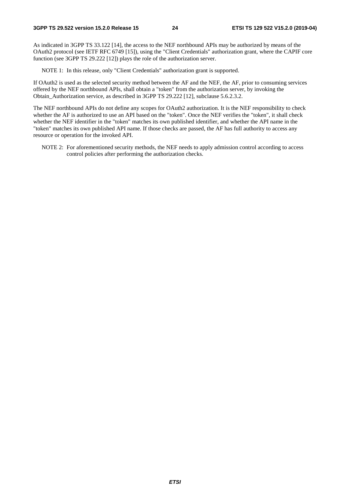As indicated in 3GPP TS 33.122 [14], the access to the NEF northbound APIs may be authorized by means of the OAuth2 protocol (see IETF RFC 6749 [15]), using the "Client Credentials" authorization grant, where the CAPIF core function (see 3GPP TS 29.222 [12]) plays the role of the authorization server.

NOTE 1: In this release, only "Client Credentials" authorization grant is supported.

If OAuth2 is used as the selected security method between the AF and the NEF, the AF, prior to consuming services offered by the NEF northbound APIs, shall obtain a "token" from the authorization server, by invoking the Obtain\_Authorization service, as described in 3GPP TS 29.222 [12], subclause 5.6.2.3.2.

The NEF northbound APIs do not define any scopes for OAuth2 authorization. It is the NEF responsibility to check whether the AF is authorized to use an API based on the "token". Once the NEF verifies the "token", it shall check whether the NEF identifier in the "token" matches its own published identifier, and whether the API name in the "token" matches its own published API name. If those checks are passed, the AF has full authority to access any resource or operation for the invoked API.

NOTE 2: For aforementioned security methods, the NEF needs to apply admission control according to access control policies after performing the authorization checks.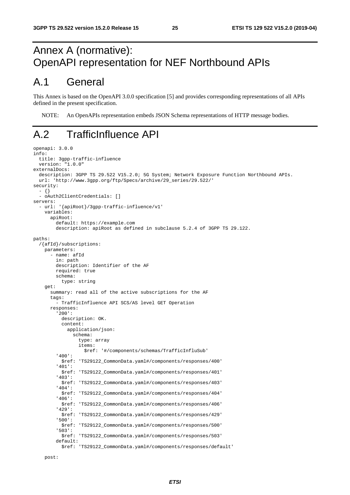## Annex A (normative): OpenAPI representation for NEF Northbound APIs

## A.1 General

This Annex is based on the OpenAPI 3.0.0 specification [5] and provides corresponding representations of all APIs defined in the present specification.

NOTE: An OpenAPIs representation embeds JSON Schema representations of HTTP message bodies.

## A.2 TrafficInfluence API

```
openapi: 3.0.0 
info: 
 title: 3gpp-traffic-influence 
 version: "1.0.0" 
externalDocs: 
   description: 3GPP TS 29.522 V15.2.0; 5G System; Network Exposure Function Northbound APIs. 
   url: 'http://www.3gpp.org/ftp/Specs/archive/29_series/29.522/' 
security: 
   - {} 
   - oAuth2ClientCredentials: [] 
servers: 
   - url: '{apiRoot}/3gpp-traffic-influence/v1' 
     variables: 
       apiRoot: 
         default: https://example.com 
         description: apiRoot as defined in subclause 5.2.4 of 3GPP TS 29.122. 
paths: 
   /{afId}/subscriptions: 
     parameters: 
       - name: afId 
         in: path 
         description: Identifier of the AF 
         required: true 
         schema: 
           type: string 
     get: 
       summary: read all of the active subscriptions for the AF 
       tags: 
          - TrafficInfluence API SCS/AS level GET Operation 
       responses: 
          '200': 
           description: OK. 
           content: 
              application/json: 
                schema: 
                  type: array 
                  items: 
                     $ref: '#/components/schemas/TrafficInfluSub' 
          '400': 
           $ref: 'TS29122_CommonData.yaml#/components/responses/400' 
          '401': 
            $ref: 'TS29122_CommonData.yaml#/components/responses/401' 
          '403': 
           $ref: 'TS29122_CommonData.yaml#/components/responses/403' 
          '404': 
            $ref: 'TS29122_CommonData.yaml#/components/responses/404' 
          '406': 
            $ref: 'TS29122_CommonData.yaml#/components/responses/406' 
          '429': 
                  $ref: 'TS29122_CommonData.yaml#/components/responses/429' 
          '500': 
            $ref: 'TS29122_CommonData.yaml#/components/responses/500' 
          '503': 
           $ref: 'TS29122_CommonData.yaml#/components/responses/503' 
         default: 
            $ref: 'TS29122_CommonData.yaml#/components/responses/default'
```
post: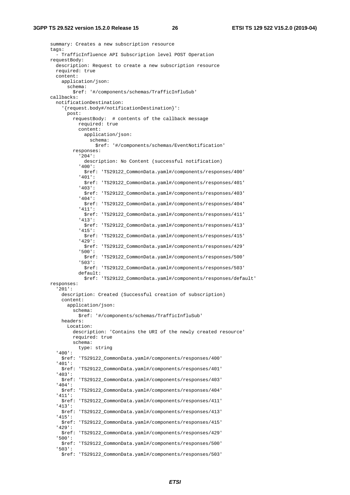summary: Creates a new subscription resource tags: - TrafficInfluence API Subscription level POST Operation requestBody: description: Request to create a new subscription resource required: true content: application/json: schema: \$ref: '#/components/schemas/TrafficInfluSub' callbacks: notificationDestination: '{request.body#/notificationDestination}': post: requestBody: # contents of the callback message required: true content: application/json: schema: \$ref: '#/components/schemas/EventNotification' responses: '204': description: No Content (successful notification) '400': \$ref: 'TS29122\_CommonData.yaml#/components/responses/400' '401': \$ref: 'TS29122\_CommonData.yaml#/components/responses/401' '403': \$ref: 'TS29122\_CommonData.yaml#/components/responses/403' '404': \$ref: 'TS29122\_CommonData.yaml#/components/responses/404' '411': \$ref: 'TS29122\_CommonData.yaml#/components/responses/411' '413': \$ref: 'TS29122\_CommonData.yaml#/components/responses/413' '415': \$ref: 'TS29122\_CommonData.yaml#/components/responses/415' '429': \$ref: 'TS29122\_CommonData.yaml#/components/responses/429' '500': \$ref: 'TS29122\_CommonData.yaml#/components/responses/500' '503': \$ref: 'TS29122\_CommonData.yaml#/components/responses/503' default: \$ref: 'TS29122\_CommonData.yaml#/components/responses/default' responses: '201': description: Created (Successful creation of subscription) content: application/json: schema: \$ref: '#/components/schemas/TrafficInfluSub' headers: Location: description: 'Contains the URI of the newly created resource' required: true schema: type: string '400': \$ref: 'TS29122\_CommonData.yaml#/components/responses/400' '401': \$ref: 'TS29122\_CommonData.yaml#/components/responses/401' '403': \$ref: 'TS29122\_CommonData.yaml#/components/responses/403' '404': \$ref: 'TS29122\_CommonData.yaml#/components/responses/404' '411': \$ref: 'TS29122\_CommonData.yaml#/components/responses/411' '413': \$ref: 'TS29122\_CommonData.yaml#/components/responses/413' '415': \$ref: 'TS29122\_CommonData.yaml#/components/responses/415' '429': \$ref: 'TS29122\_CommonData.yaml#/components/responses/429' '500': \$ref: 'TS29122\_CommonData.yaml#/components/responses/500' '503': \$ref: 'TS29122\_CommonData.yaml#/components/responses/503'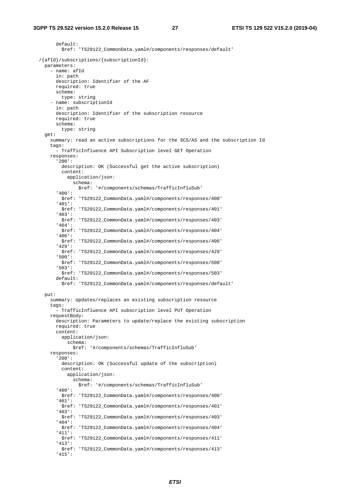default: \$ref: 'TS29122\_CommonData.yaml#/components/responses/default' /{afId}/subscriptions/{subscriptionId}: parameters: - name: afId in: path description: Identifier of the AF required: true schema: type: string - name: subscriptionId in: path description: Identifier of the subscription resource required: true schema: type: string get: summary: read an active subscriptions for the SCS/AS and the subscription Id tags: - TrafficInfluence API Subscription level GET Operation responses: '200': description: OK (Successful get the active subscription) content: application/json: schema: \$ref: '#/components/schemas/TrafficInfluSub' '400': \$ref: 'TS29122\_CommonData.yaml#/components/responses/400' '401': \$ref: 'TS29122\_CommonData.yaml#/components/responses/401' '403': \$ref: 'TS29122\_CommonData.yaml#/components/responses/403' '404': \$ref: 'TS29122\_CommonData.yaml#/components/responses/404' '406': \$ref: 'TS29122\_CommonData.yaml#/components/responses/406' '429': \$ref: 'TS29122\_CommonData.yaml#/components/responses/429' '500': \$ref: 'TS29122\_CommonData.yaml#/components/responses/500' '503': \$ref: 'TS29122\_CommonData.yaml#/components/responses/503' default: \$ref: 'TS29122\_CommonData.yaml#/components/responses/default' put: summary: Updates/replaces an existing subscription resource tags: - TrafficInfluence API subscription level PUT Operation requestBody: description: Parameters to update/replace the existing subscription required: true content: application/ison: schema: \$ref: '#/components/schemas/TrafficInfluSub' responses: '200': description: OK (Successful update of the subscription) content: application/json: schema: \$ref: '#/components/schemas/TrafficInfluSub' '400': \$ref: 'TS29122\_CommonData.yaml#/components/responses/400' '401': \$ref: 'TS29122\_CommonData.yaml#/components/responses/401' '403': \$ref: 'TS29122\_CommonData.yaml#/components/responses/403' '404': \$ref: 'TS29122\_CommonData.yaml#/components/responses/404' '411': \$ref: 'TS29122\_CommonData.yaml#/components/responses/411' '413': \$ref: 'TS29122\_CommonData.yaml#/components/responses/413' '415':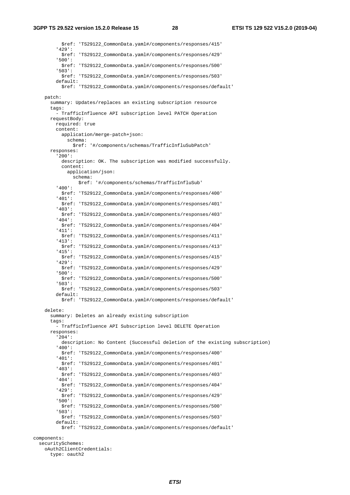\$ref: 'TS29122\_CommonData.yaml#/components/responses/415' '429': \$ref: 'TS29122\_CommonData.yaml#/components/responses/429' '500': \$ref: 'TS29122\_CommonData.yaml#/components/responses/500' '503': \$ref: 'TS29122\_CommonData.yaml#/components/responses/503' default: \$ref: 'TS29122\_CommonData.yaml#/components/responses/default' patch: summary: Updates/replaces an existing subscription resource tags: - TrafficInfluence API subscription level PATCH Operation requestBody: required: true content: application/merge-patch+json: schema: \$ref: '#/components/schemas/TrafficInfluSubPatch' responses: '200': description: OK. The subscription was modified successfully. content: application/json: schema: \$ref: '#/components/schemas/TrafficInfluSub' '400': \$ref: 'TS29122\_CommonData.yaml#/components/responses/400' '401': \$ref: 'TS29122\_CommonData.yaml#/components/responses/401' '403': \$ref: 'TS29122\_CommonData.yaml#/components/responses/403' '404': \$ref: 'TS29122\_CommonData.yaml#/components/responses/404' '411': \$ref: 'TS29122\_CommonData.yaml#/components/responses/411' '413': \$ref: 'TS29122\_CommonData.yaml#/components/responses/413' '415': \$ref: 'TS29122\_CommonData.yaml#/components/responses/415' '429': \$ref: 'TS29122\_CommonData.yaml#/components/responses/429' '500': \$ref: 'TS29122\_CommonData.yaml#/components/responses/500' '503': \$ref: 'TS29122\_CommonData.yaml#/components/responses/503' default: \$ref: 'TS29122\_CommonData.yaml#/components/responses/default' delete: summary: Deletes an already existing subscription tags: - TrafficInfluence API Subscription level DELETE Operation responses: '204': description: No Content (Successful deletion of the existing subscription) '400': \$ref: 'TS29122\_CommonData.yaml#/components/responses/400' '401': \$ref: 'TS29122\_CommonData.yaml#/components/responses/401' '403': \$ref: 'TS29122\_CommonData.yaml#/components/responses/403' '404': \$ref: 'TS29122\_CommonData.yaml#/components/responses/404' '429': \$ref: 'TS29122\_CommonData.yaml#/components/responses/429' '500': \$ref: 'TS29122\_CommonData.yaml#/components/responses/500' '503': \$ref: 'TS29122\_CommonData.yaml#/components/responses/503' default: \$ref: 'TS29122\_CommonData.yaml#/components/responses/default' components: securitySchemes: oAuth2ClientCredentials:

```
 type: oauth2
```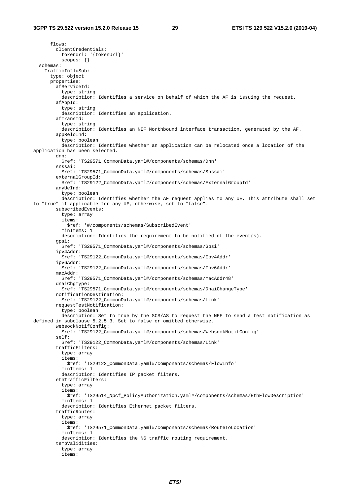flows: clientCredentials: tokenUrl: '{tokenUrl}' scopes: {} schemas: TrafficInfluSub: type: object properties: afServiceId: type: string description: Identifies a service on behalf of which the AF is issuing the request. afAppId: type: string description: Identifies an application. afTransId: type: string description: Identifies an NEF Northbound interface transaction, generated by the AF. appReloInd: type: boolean description: Identifies whether an application can be relocated once a location of the application has been selected. dnn: \$ref: 'TS29571\_CommonData.yaml#/components/schemas/Dnn' snssai: \$ref: 'TS29571\_CommonData.yaml#/components/schemas/Snssai' externalGroupId: \$ref: 'TS29122\_CommonData.yaml#/components/schemas/ExternalGroupId' anyUeInd: type: boolean description: Identifies whether the AF request applies to any UE. This attribute shall set to "true" if applicable for any UE, otherwise, set to "false". subscribedEvents: type: array items: \$ref: '#/components/schemas/SubscribedEvent' minItems: 1 description: Identifies the requirement to be notified of the event(s). gpsi: \$ref: 'TS29571\_CommonData.yaml#/components/schemas/Gpsi' ipv4Addr: \$ref: 'TS29122\_CommonData.yaml#/components/schemas/Ipv4Addr' ipv6Addr: \$ref: 'TS29122\_CommonData.yaml#/components/schemas/Ipv6Addr' macAddr: \$ref: 'TS29571\_CommonData.yaml#/components/schemas/macAddr48' dnaiChgType: \$ref: 'TS29571\_CommonData.yaml#/components/schemas/DnaiChangeType' notificationDestination: \$ref: 'TS29122\_CommonData.yaml#/components/schemas/Link' requestTestNotification: type: boolean description: Set to true by the SCS/AS to request the NEF to send a test notification as defined in subclause 5.2.5.3. Set to false or omitted otherwise. websockNotifConfig: \$ref: 'TS29122\_CommonData.yaml#/components/schemas/WebsockNotifConfig' self: \$ref: 'TS29122\_CommonData.yaml#/components/schemas/Link' trafficFilters: type: array items: \$ref: 'TS29122\_CommonData.yaml#/components/schemas/FlowInfo' minItems: 1 description: Identifies IP packet filters. ethTrafficFilters: type: array items: \$ref: 'TS29514\_Npcf\_PolicyAuthorization.yaml#/components/schemas/EthFlowDescription' minItems: 1 description: Identifies Ethernet packet filters. trafficRoutes: type: array items: \$ref: 'TS29571\_CommonData.yaml#/components/schemas/RouteToLocation' minItems: 1 description: Identifies the N6 traffic routing requirement. tempValidities: type: array items: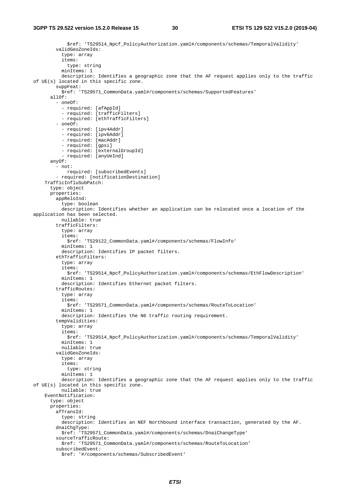```
 $ref: 'TS29514_Npcf_PolicyAuthorization.yaml#/components/schemas/TemporalValidity' 
         validGeoZoneIds: 
           type: array 
           items: 
             type: string 
           minItems: 1 
           description: Identifies a geographic zone that the AF request applies only to the traffic 
of UE(s) located in this specific zone. 
         suppFeat: 
           $ref: 'TS29571_CommonData.yaml#/components/schemas/SupportedFeatures' 
       allOf: 
          - oneOf: 
           - required: [afAppId] 
           - required: [trafficFilters] 
            - required: [ethTrafficFilters] 
          - oneOf: 
           - required: [ipv4Addr] 
           - required: [ipv6Addr] 
           - required: [macAddr] 
           - required: [gpsi] 
           - required: [externalGroupId] 
           - required: [anyUeInd] 
       anyOf: 
         - not: 
             required: [subscribedEvents] 
          - required: [notificationDestination] 
     TrafficInfluSubPatch: 
       type: object 
       properties: 
         appReloInd: 
           type: boolean 
           description: Identifies whether an application can be relocated once a location of the 
application has been selected. 
           nullable: true 
         trafficFilters: 
           type: array 
            items: 
              $ref: 'TS29122_CommonData.yaml#/components/schemas/FlowInfo' 
           minItems: 1 
           description: Identifies IP packet filters. 
         ethTrafficFilters: 
           type: array 
           items: 
              $ref: 'TS29514_Npcf_PolicyAuthorization.yaml#/components/schemas/EthFlowDescription' 
           minItems: 1 
           description: Identifies Ethernet packet filters. 
         trafficRoutes: 
           type: array 
           items: 
              $ref: 'TS29571_CommonData.yaml#/components/schemas/RouteToLocation' 
           minItems: 1 
           description: Identifies the N6 traffic routing requirement. 
         tempValidities: 
           type: array 
           items: 
             $ref: 'TS29514_Npcf_PolicyAuthorization.yaml#/components/schemas/TemporalValidity' 
           minItems: 1 
           nullable: true 
         validGeoZoneIds: 
           type: array 
           items: 
             type: string 
           minItems: 1 
           description: Identifies a geographic zone that the AF request applies only to the traffic 
of UE(s) located in this specific zone. 
           nullable: true 
     EventNotification: 
       type: object 
       properties: 
         afTransId: 
           type: string 
           description: Identifies an NEF Northbound interface transaction, generated by the AF. 
         dnaiChgType: 
           $ref: 'TS29571_CommonData.yaml#/components/schemas/DnaiChangeType' 
         sourceTrafficRoute: 
           $ref: 'TS29571_CommonData.yaml#/components/schemas/RouteToLocation' 
         subscribedEvent: 
           $ref: '#/components/schemas/SubscribedEvent'
```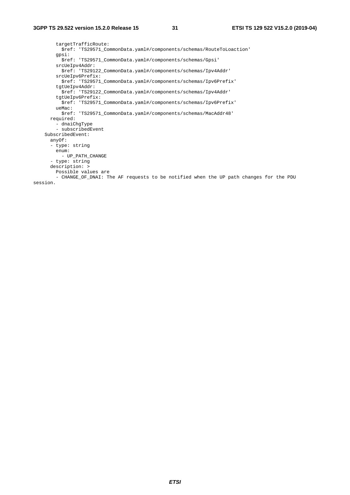targetTrafficRoute: \$ref: 'TS29571\_CommonData.yaml#/components/schemas/RouteToLoaction' gpsi: \$ref: 'TS29571\_CommonData.yaml#/components/schemas/Gpsi' srcUeIpv4Addr: \$ref: 'TS29122\_CommonData.yaml#/components/schemas/Ipv4Addr' srcUeIpv6Prefix: \$ref: 'TS29571\_CommonData.yaml#/components/schemas/Ipv6Prefix' tgtUeIpv4Addr: \$ref: 'TS29122\_CommonData.yaml#/components/schemas/Ipv4Addr' tgtUeIpv6Prefix: \$ref: 'TS29571\_CommonData.yaml#/components/schemas/Ipv6Prefix' ueMac: \$ref: 'TS29571\_CommonData.yaml#/components/schemas/MacAddr48' required: - dnaiChgType - subscribedEvent SubscribedEvent: anyOf: - type: string enum: - UP\_PATH\_CHANGE - type: string description: > Possible values are - CHANGE\_OF\_DNAI: The AF requests to be notified when the UP path changes for the PDU session.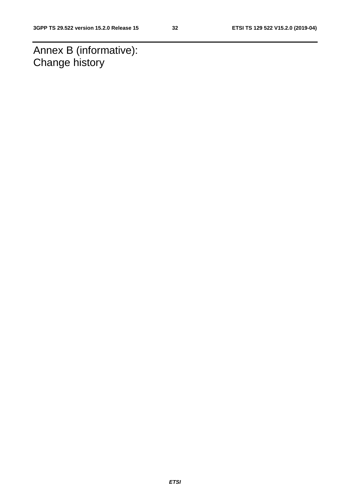Annex B (informative): Change history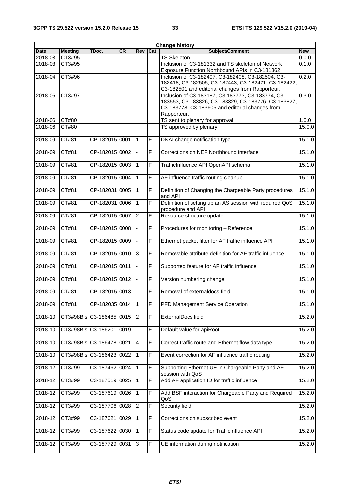|             |                |                              |           |                |                         | <b>Change history</b>                                                                                    |            |
|-------------|----------------|------------------------------|-----------|----------------|-------------------------|----------------------------------------------------------------------------------------------------------|------------|
| <b>Date</b> | <b>Meeting</b> | TDoc.                        | <b>CR</b> | Rev            | Cat                     | Subject/Comment                                                                                          | <b>New</b> |
| 2018-03     | CT3#95         |                              |           |                |                         | <b>TS Skeleton</b>                                                                                       | 0.0.0      |
| 2018-03     | CT3#95         |                              |           |                |                         | Inclusion of C3-181332 and TS skeleton of Network<br>Exposure Function Northbound APIs in C3-181362.     | 0.1.0      |
| 2018-04     | CT3#96         |                              |           |                |                         | Inclusion of C3-182407, C3-182408, C3-182504, C3-<br>182418, C3-182505, C3-182443, C3-182421, C3-182422, | 0.2.0      |
|             |                |                              |           |                |                         | C3-182501 and editorial changes from Rapporteur.                                                         |            |
| 2018-05     | CT3#97         |                              |           |                |                         | Inclusion of C3-183187, C3-183773, C3-183774, C3-<br>183553, C3-183826, C3-183329, C3-183776, C3-183827, | 0.3.0      |
|             |                |                              |           |                |                         | C3-183778, C3-183605 and editorial changes from<br>Rapporteur.                                           |            |
| 2018-06     | CT#80          |                              |           |                |                         | TS sent to plenary for approval                                                                          | 1.0.0      |
| 2018-06     | CT#80          |                              |           |                |                         | TS approved by plenary                                                                                   | 15.0.0     |
| 2018-09     | CT#81          | CP-182015 0001               |           | $\mathbf{1}$   | $\overline{F}$          | DNAI change notification type                                                                            | 15.1.0     |
| 2018-09     | CT#81          | CP-182015 0002               |           |                | $\mathsf F$             | Corrections on NEF Northbound interface                                                                  | 15.1.0     |
| 2018-09     | CT#81          | CP-182015 0003               |           | $\mathbf{1}$   | $\overline{\mathsf{F}}$ | TrafficInfluence API OpenAPI schema                                                                      | 15.1.0     |
| 2018-09     | CT#81          | CP-182015 0004               |           | $\mathbf{1}$   | $\overline{F}$          | AF influence traffic routing cleanup                                                                     | 15.1.0     |
| 2018-09     | CT#81          | CP-182031 0005               |           | $\mathbf{1}$   | $\overline{F}$          | Definition of Changing the Chargeable Party procedures<br>and API                                        | 15.1.0     |
| 2018-09     | CT#81          | CP-182031 0006               |           | 1              | F                       | Definition of setting up an AS session with required QoS<br>procedure and API                            | 15.1.0     |
| 2018-09     | CT#81          | CP-182015 0007               |           | $\overline{2}$ | F                       | Resource structure update                                                                                | 15.1.0     |
| 2018-09     | CT#81          | CP-182015 0008               |           |                | F                       | Procedures for monitoring - Reference                                                                    | 15.1.0     |
| 2018-09     | CT#81          | CP-182015 0009               |           |                | F                       | Ethernet packet filter for AF traffic influence API                                                      | 15.1.0     |
| 2018-09     | CT#81          | CP-182015 0010               |           | 3              | F                       | Removable attribute definition for AF traffic influence                                                  | 15.1.0     |
| 2018-09     | CT#81          | CP-182015 0011               |           |                | $\overline{F}$          | Supported feature for AF traffic influence                                                               | 15.1.0     |
| 2018-09     | CT#81          | CP-182015 0012               |           |                | F                       | Version numbering change                                                                                 | 15.1.0     |
| 2018-09     | CT#81          | CP-182015 0013               |           |                | $\overline{F}$          | Removal of externaldocs field                                                                            | 15.1.0     |
| 2018-09     | CT#81          | CP-182035 0014 1             |           |                | F                       | PFD Management Service Operation                                                                         | 15.1.0     |
| 2018-10     |                | CT3#98Bis C3-186485 0015     |           | $\overline{2}$ | $\mathsf F$             | ExternalDocs field                                                                                       | 15.2.0     |
| 2018-10     |                | CT3#98Bis C3-186201 0019     |           |                | F                       | Default value for apiRoot                                                                                | 15.2.0     |
| 2018-10     |                | CT3#98Bis   C3-186478   0021 |           | $\overline{4}$ | F                       | Correct traffic route and Ethernet flow data type                                                        | 15.2.0     |
| 2018-10     | CT3#98Bis      | C3-186423 0022               |           | 1              | F                       | Event correction for AF influence traffic routing                                                        | 15.2.0     |
| 2018-12     | CT3#99         | C3-187462 0024               |           | $\mathbf{1}$   | $\mathsf F$             | Supporting Ethernet UE in Chargeable Party and AF<br>session with QoS                                    | 15.2.0     |
| 2018-12     | CT3#99         | C3-187519 0025               |           | $\mathbf{1}$   | F                       | Add AF application ID for traffic influence                                                              | 15.2.0     |
| 2018-12     | CT3#99         | C3-187619 0026               |           | $\mathbf{1}$   | $\mathsf F$             | Add BSF interaction for Chargeable Party and Required<br>QoS                                             | 15.2.0     |
| 2018-12     | CT3#99         | C3-187706 0028               |           | $\overline{c}$ | F                       | Security field                                                                                           | 15.2.0     |
| 2018-12     | CT3#99         | C3-187621 0029               |           | $\mathbf{1}$   | F                       | Corrections on subscribed event                                                                          | 15.2.0     |
| 2018-12     | CT3#99         | C3-187622 0030               |           | $\mathbf{1}$   | F                       | Status code update for TrafficInfluence API                                                              | 15.2.0     |
| 2018-12     | CT3#99         | C3-187729 0031               |           | $\mathbf{3}$   | $\mathsf F$             | UE information during notification                                                                       | 15.2.0     |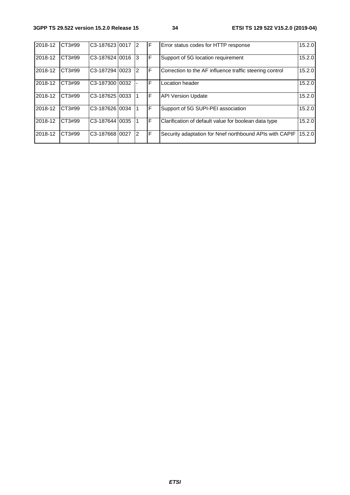| 2018-12 | CT3#99 | C3-187623 0017              | 12             | IF  | Error status codes for HTTP response                    | 15.2.0 |
|---------|--------|-----------------------------|----------------|-----|---------------------------------------------------------|--------|
| 2018-12 | CT3#99 | C3-187624 0016              | 3              | IF  | Support of 5G location requirement                      | 15.2.0 |
| 2018-12 | CT3#99 | C3-187294 0023              | $\overline{2}$ | IF. | Correction to the AF influence traffic steering control | 15.2.0 |
| 2018-12 | CT3#99 | C3-18730010032              |                | F   | Location header                                         | 15.2.0 |
| 2018-12 | CT3#99 | C <sub>3</sub> -187625 0033 |                | IF  | <b>API Version Update</b>                               | 15.2.0 |
| 2018-12 | CT3#99 | C3-187626 0034              |                | IF  | Support of 5G SUPI-PEI association                      | 15.2.0 |
| 2018-12 | CT3#99 | C3-187644 0035              |                | F   | Clarification of default value for boolean data type    | 15.2.0 |
| 2018-12 | CT3#99 | C3-187668 0027              | $\overline{2}$ | IF. | Security adaptation for Nnef northbound APIs with CAPIF | 15.2.0 |